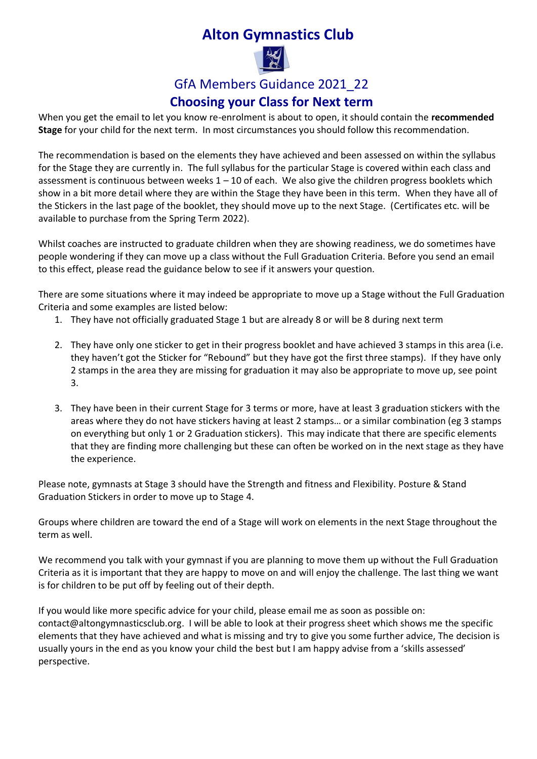# **Alton Gymnastics Club**



# GfA Members Guidance 2021\_22

### **Choosing your Class for Next term**

When you get the email to let you know re-enrolment is about to open, it should contain the **recommended Stage** for your child for the next term. In most circumstances you should follow this recommendation.

The recommendation is based on the elements they have achieved and been assessed on within the syllabus for the Stage they are currently in. The full syllabus for the particular Stage is covered within each class and assessment is continuous between weeks  $1 - 10$  of each. We also give the children progress booklets which show in a bit more detail where they are within the Stage they have been in this term. When they have all of the Stickers in the last page of the booklet, they should move up to the next Stage. (Certificates etc. will be available to purchase from the Spring Term 2022).

Whilst coaches are instructed to graduate children when they are showing readiness, we do sometimes have people wondering if they can move up a class without the Full Graduation Criteria. Before you send an email to this effect, please read the guidance below to see if it answers your question.

There are some situations where it may indeed be appropriate to move up a Stage without the Full Graduation Criteria and some examples are listed below:

- 1. They have not officially graduated Stage 1 but are already 8 or will be 8 during next term
- 2. They have only one sticker to get in their progress booklet and have achieved 3 stamps in this area (i.e. they haven't got the Sticker for "Rebound" but they have got the first three stamps). If they have only 2 stamps in the area they are missing for graduation it may also be appropriate to move up, see point 3.
- 3. They have been in their current Stage for 3 terms or more, have at least 3 graduation stickers with the areas where they do not have stickers having at least 2 stamps… or a similar combination (eg 3 stamps on everything but only 1 or 2 Graduation stickers). This may indicate that there are specific elements that they are finding more challenging but these can often be worked on in the next stage as they have the experience.

Please note, gymnasts at Stage 3 should have the Strength and fitness and Flexibility. Posture & Stand Graduation Stickers in order to move up to Stage 4.

Groups where children are toward the end of a Stage will work on elements in the next Stage throughout the term as well.

We recommend you talk with your gymnast if you are planning to move them up without the Full Graduation Criteria as it is important that they are happy to move on and will enjoy the challenge. The last thing we want is for children to be put off by feeling out of their depth.

If you would like more specific advice for your child, please email me as soon as possible on: [contact@altongymnasticsclub.org.](mailto:contact@altongymnasticsclub.org) I will be able to look at their progress sheet which shows me the specific elements that they have achieved and what is missing and try to give you some further advice, The decision is usually yours in the end as you know your child the best but I am happy advise from a 'skills assessed' perspective.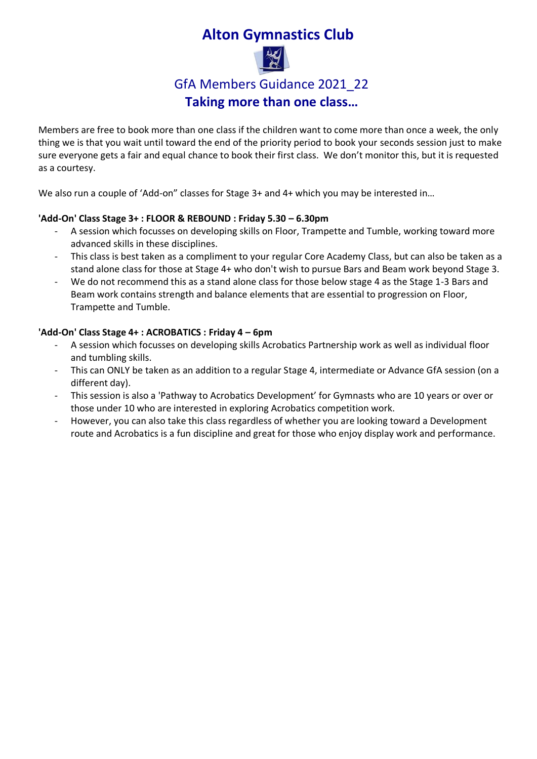# **Alton Gymnastics Club**



### GfA Members Guidance 2021\_22

**Taking more than one class…**

Members are free to book more than one class if the children want to come more than once a week, the only thing we is that you wait until toward the end of the priority period to book your seconds session just to make sure everyone gets a fair and equal chance to book their first class. We don't monitor this, but it is requested as a courtesy.

We also run a couple of 'Add-on" classes for Stage 3+ and 4+ which you may be interested in...

### **'Add-On' Class Stage 3+ : FLOOR & REBOUND : Friday 5.30 – 6.30pm**

- A session which focusses on developing skills on Floor, Trampette and Tumble, working toward more advanced skills in these disciplines.
- This class is best taken as a compliment to your regular Core Academy Class, but can also be taken as a stand alone class for those at Stage 4+ who don't wish to pursue Bars and Beam work beyond Stage 3.
- We do not recommend this as a stand alone class for those below stage 4 as the Stage 1-3 Bars and Beam work contains strength and balance elements that are essential to progression on Floor, Trampette and Tumble.

#### **'Add-On' Class Stage 4+ : ACROBATICS : Friday 4 – 6pm**

- A session which focusses on developing skills Acrobatics Partnership work as well as individual floor and tumbling skills.
- This can ONLY be taken as an addition to a regular Stage 4, intermediate or Advance GfA session (on a different day).
- This session is also a 'Pathway to Acrobatics Development' for Gymnasts who are 10 years or over or those under 10 who are interested in exploring Acrobatics competition work.
- However, you can also take this class regardless of whether you are looking toward a Development route and Acrobatics is a fun discipline and great for those who enjoy display work and performance.